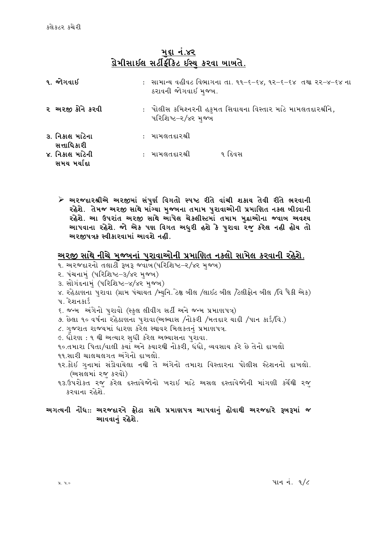# મદ્દા નં.૪૨ <u>ડોેમીસાઇલ સર્ટીફીકેટ ઇસ્ય કરવા ખાખતે.</u>

| ૧. જોગવાઈ                      | : साभान्य वહीवट विलागना ता. ११-६-६४, १२-६-६४ तथा २२-४-६४ ना<br>ઠરાવની જોગવાઈ મુજબ. |
|--------------------------------|------------------------------------------------------------------------------------|
| ૨ અરજી કોને કરવી               | : પોલીસ કમિશ્નરની હકુમત સિવાયના વિસ્તાર માટે મામલતદારશ્રીને,<br>પરિશિષ્ટ–ર/૪ર મજબ  |
| ૩. નિકાલ માટેના<br>સત્તાધિકારી | : મામલતદારશ્રી                                                                     |
| ૪. નિકાલ માટેની<br>સમય મર્યાદા | ૧ દિવસ<br>: મામલતદારશ્રી                                                           |

≻ અરજદારશ્રીએ અરજીમાં સંપુર્ણ વિગતો સ્પષ્ટ રીતે વાંચી શકાય તેવી રીતે ભરવાની રહેશે. તેમજ અરજી સાથે માંગ્યા મુજબના તમામ પુરાવાઓની પ્રમાણિત નક્લ બીડ્વાની રહેશે. આ ઉપરાંત અરજી સાથે આપેલ ચેકલીસ્ટમાં તમામ મદ્રાઓના જ્વાબ અવશ્ય આપવાના રહેશે. જો એક પણ વિગત અધુરી હશે કે પુરાવા રજૂ કરેલ નહી હોય તો અરજીપત્રક સ્વીકારવામાં આવશે નહીં.

### અરજી સાથે નીચે મજ્બનાં પરાવાઓની પ્રમાણિત નકલો સામેલ કરવાની રહેશે.

- ૧. અરજદારનો તલાટી રૂખરૂ જ્વાંખ (પરિશિષ્ટ–૨/૪૨ મજખ)
- ૨. પંચનામં (પરિશિષ્ટ-3/૪૨ મજબ)
- 3. સોગંદનામં (પરિશિષ્ટ–૪/૪૨ મજબ)
- ૪. રહેઠાણના પરાવા (ગ્રામ પંચાયત /મ્યનિ. ટેક્ષ બીલ /લાઇટ બીલ /ટેલીફોન બીલ /વિ પૈકી એક)
- ૫. રેશનકાર્ડ
- ૬. જન્મ અંગેનો પરાવો (સ્કલ લીવીગ સર્ટી અને જન્મ પ્રમાણપત્ર)
- ૭. છેલા ૧૦ વર્ષના રહેઠાણના પુરાવા(અભ્યાસ /નોકરી /મતદાર યાદી /પાન કાર્ડ/વિ.)
- ૮. ગજરાત રાજ્યમાં ધારણ કરેલ સ્થાવર મિલકતનં પ્રમાણપત્ર.
- ૯. ધોરણ : ૧ થી અત્યાર સધી કરેલ અભ્યાસના પરાવા.

૧૦.તમારા પિતા/વાલી કચાં અને કચારથી નોકરી, ધંધો, વ્યવસાય કરે છે તેનો દાખલો ૧૧.સારી ચાલચલગત અંગેનો દાખલો.

- ૧ર.કોઈ ગુનામાં સંડોવાયેલા નથી તે અંગેનો તમારા વિસ્તારના પોલીસ સ્ટેશનનો દાખલો. (અસલમાં રજ કરવો)
- ૧૩.ઉપરોકત રજ કરેલ દસ્તાવેજોનો ખરાઇ માટે અસલ દસ્તાવેજોની માંગણી કર્ચેથી રજ કરવાના રહેશે.

#### અગત્યની નોંધ:: અરજદારને ફોટા સાથે પ્રમાણપત્ર આપવાનું હોવાથી અરજદારે રૂખરૂમાં જ આવવાનું રહેશે.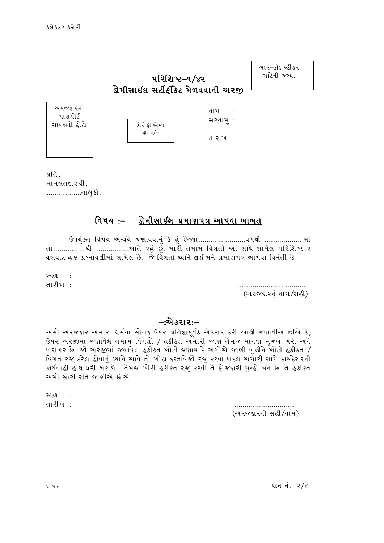સાઈઝનો

| ખા૨–કોઽ સ્ટીકર |  |
|----------------|--|
| માટેની જગ્યા   |  |

# પરિશિષ્ટ–૧/૪૨ ડોેમીસાઇલ સર્ટીકીકેટ મેળવવાની અરજી

| અ૨જદા૨નો<br>પાસપોર્ટ<br>સાઇઝનો ફોટો | કોર્ટ ફી સ્ટેમ્પ<br>રા. ૩/– | નામ | $\bullet$<br>સરનામ :<br><br>તારીખ : |
|-------------------------------------|-----------------------------|-----|-------------------------------------|
|-------------------------------------|-----------------------------|-----|-------------------------------------|

પ્રતિ, મામલતદારશ્રી, ………………તાલુકો.

#### વિષય :– ડોેમીસાઇલ પ્રમાણપત્ર આપવા બાબત

ઉપર્યુકત વિષય અન્વયે જણાવવાનું કે હું છેલ્લા..........................વર્ષથી ...................માં તા.................થી ..................ખાતે રહું છું. મારી તમામ વિગતો આ સાથે સામેલ પરિશિષ્ટ–ર વસવાટ હક્ક પ્રશ્નાવલીમાં સામેલ છે. જે વિગતો ઘ્યાને લઈ મને પ્રમાણપત્ર આપવા વિનંતી છે.

સ્થળ  $\sim$  : તારીખ :

(અરજદારનું નામ/સહી)

### –:એકરાર:–

અમો અરજદાર અમારા ધર્મના સોગંદ ઉપર પ્રતિજ્ઞાપૂર્વક એકરાર કરી આથી જણાવીએ છીએ કે, ઉપર અરજીમાં જણાવેલ તમામ વિગતો / હકીકત અમારી જાણ તેમજ માનવા મુજબ ખરી અને ખરાખર છે. જો અરજીમાં જણાવેલ હકીકત ખોટી જણાય કે અમોએ જાણી ખઝીને ખોટી હકીકત / વિગત રજૂ કરેલ હોવાનું ઘ્યાને આવે તો ખોટા દસ્તાવેજો રજુ કરવા બદલ અમારી સામે કાયદેસરની કાર્યવાહી હાથ ધરી શકાશે. તેમજ ખોટી હકીકત રજુ કરવી તે ફોજદારી ગુન્હો ખને છે. તે હકીકત અમો સારી રીતે જાણીએ છીએ.

> (અરજદારની સહી/નામ)

સ્થળ : તારીખ :

પાનનં.  $2/c$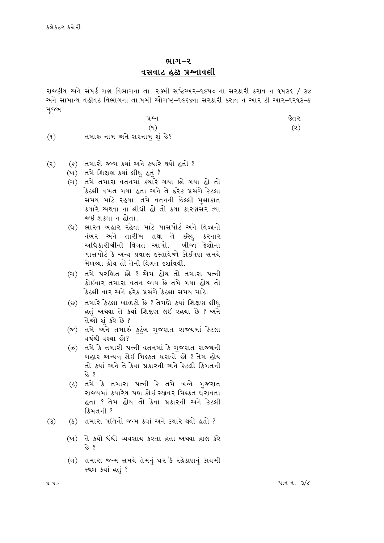## ભાગ–ર <u>વસવાટ હક્ક પ્રશ્નાવલી</u>

રાજકીય અને સંપર્ક ગણ વિભાગના તા. ર૭મી સપ્ટેમ્બર-૧૯૫૦ ના સરકારી ઠરાવ નં ૧૫૩૬ / ૩૪ અને સામાન્ય વહીવટ વિભાગના તા.૫મી ઓગષ્ટ–૧૯૬૪ના સરકારી ઠરાવ નં આર ટી આર–૧ર૧૩–ક મજખ

- $48<sub>1</sub>$ કિત ર  $(9)$  $(5)$ તમારુ નામ અને સરનામુ શું છે?
- $(9)$
- (ક) તમારો જન્મ કર્યા અને કચારે થયો હતો ?  $(5)$ 
	- (ખ) તમે શિક્ષણ કર્યા લીધ હતં?
	- (ગ) તમે તમારા વતનમાં કચારે ગયા છો ગયા હો તો કેટલી વખત ગયા હતા અને તે દરેક પ્રસંગે કેટલા સમય માટે રહયા. તમે વતનની છેલ્લી મલાકાત કચારે અથવા ના લીધી હો તો કચા કારણસર ત્યાં જઈ શક્યા ન હોતા.
	- (ધ) ભારત ખહાર રહેવા માટે પાસપોર્ટ અને વિઝાનો નંબર અને તારીખ તથા તે ઇસ્ય કરનાર અધિકારીશ્રીની વિગત આપો ખીજા દેશોના પાસપોર્ટ કે અન્ય પ્રવાસ દસ્તાવેજો કોઈપણ સમયે મેળવ્યા હોય તો તેની વિગત દર્શાવવી.
	- (ચ) તમે પરણિત છો ? એમ હોય તો તમારા પત્ની કોઈવાર તમારા વતન જાય છે તમે ગયા હોય તો કેટલી વાર અને દરેક પ્રસંગે કેટલા સમય માટે.
	- (છ) તમારે કેટલા ખાળકો છે ? તેમણે કયાં શિક્ષણ લીધ હતું અથવા તે કર્યા શિક્ષણ લઈ રહયા છે ? અને તેઓ શંકરે છે ?
	- (જ) તમે અને તમારું કટંબ ગજરાત રાજ્યમાં કેટલા વર્ષથી વસ્યા છો?
	- (ઝ) તમે કે તમારી પત્ની વતનમાં કે ગજરાત રાજ્યની ખહાર અન્યત્ર કોઇ મિલ્કત ધરાવો છો ? તેમ હોય તો કર્યા અને તે કેવા પ્રકારની અને કેટલી કિંમતની છે ?
	- (ટ) તમે કે તમારા ૫ત્ની કે તમે ખન્ને ગુજરાત રાજ્યમાં કચારેચ પણ કોઈ સ્થાવર મિલ્કત ધરાવતા હતા ? તેમ હોય તો કેવા પ્રકારની અને કેટલી કિંમતની ?

(ક) તમારા પતિનો જન્મ કચાં અને કચારે થયો હતો ?  $(3)$ 

- (ખ) તે કચો ધંધો–વ્યવસાય કરતા હતા અથવા હાલ કરે છે ?
- (ગ) તમારા જન્મ સમયે તેમનું ઘર કે રહેઠાણનું કાયમી स्थળ કર્યા હતં?

પાનન.  $3/6$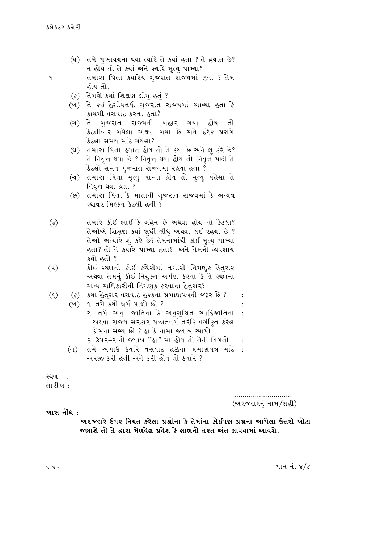- (ઘ) તમે પુખ્તવયના થયા ત્યારે તે કયાં હતા ? તે હયાત છે? ન હોય તો તે કચાં અને કચારે મૃત્યુ પામ્યા?
- તમારા પિતા કચારેચ ગુજરાત રાજ્યમાં હતા ? તેમ ٩. હોય તો,
	- (ક) તેમણે કર્યા શિક્ષણ લીધ હતં ?
	- (ખ) તે કઈ હેસીયતથી ગજરાત રાજ્યમાં આવ્યા હતા કે કાચમી વસવાટ કરતા હતા?
	- (ગ) તે ગુજરાત રાજ્યની બહાર ગયા હોય તો કેટલીવાર ગયેલા અથવા ગયા છે અને દરેક પ્રસંગે કેિટલા સમય માટે ગયેલા?
	- (ઘ) તમારા પિતા હયાત હોય તો તે કયાં છે અને શું કરે છે? તે નિવૃત્ત થયા છે ? નિવૃત્ત થયા હોય તો નિવૃત્ત પછી તે કેટલો સમય ગજરાત રાજ્યમાં રહયા હતા ?
	- (ચ) તમારા પિતા મૃત્યુ પામ્યા હોય તો મૃત્યુ પહેલા તે નિવૃત્ત થયા હતા ?
	- (છ) તમારા પિતા કે માતાની ગુજરાત રાજ્યમાં કે અન્યત્ર स्थावर मिल्डत डेटली हती ?
- તમારે કોઈ ભાઈ કે બહેન છે અથવા હોય તો કેટલા?  $(x)$ તેઓએ શિક્ષણ કર્યા સુધી લીધુ અથવા લઇ રહયા છે ? તેઓ અત્યારે શું કરે છે? તેમનામાંથી કોઈ મૃત્યુ પામ્યા હતા? તો તે કચારે પામ્યા હતા? અને તેમનો વ્યવસાય કચો હતો ?
- કોઈ સ્થળની કોઈ કચેરીમાં તમારી નિમણૂંક હેતુસર  $(4)$ અથવા તેમનું કોઇ નિયુકત અર્પણ કરતા કે તે સ્થળના અન્ય અધિકારીની નિમણૂક કરવાના હેતસર?
- $(\xi)$ (ક) કચા હેતુસર વસવાટ હકકના પ્રમાણપત્રની જરૂર છે ? (ખ) ૧. તમે કચો ધર્મ પાળો છો ? ર. તમે અનુ. જાતિના કે અનુસચિત આદિજાતિના  $\cdot$ : અથવા રાજ્ય સરકાર પછાતવર્ગ તરીકે વર્ગીકૃત કરેલ કોમના સભ્ય છો ? હા કે નામાં જવાબ આપો
	- 3. ઉપર–ર નો જવાબ "હા" માં હોય તો તેની વિગતો
	- (ગ) તમે અગાઉ કચારે વસવાટ હક્કના પ્રમાણપત્ર માટે : અરજી કરી હતી અને કરી હોય તો ક્યારે ?

स्थ0 : તારીખ :

(અરજદારનં નામ/સહી)

 $\cdot$ 

#### ખાસ નોંધ:

અરજદારે ઉપર નિયત કરેલા પ્રશ્નોના કે તેમાંના કોઇપણ પ્રશ્નના આપેલા ઉત્તરો ખોટા જણાશે તો તે દ્વારા મેળવેલ પ્રવેશ કે લાભનો તરત અંત લાવવામાં આવશે.

 $31.30$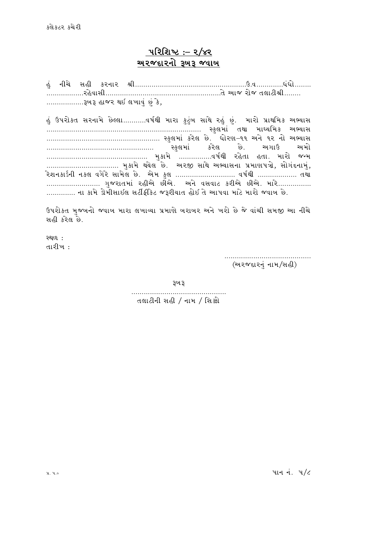# $11222 : 2/82$ અ૨જદા૨નો ૩ખ૩ જવાખ

C\] GLR[ ;CL SZGFZ zLPPPPPPPPPPPPPPPPPPPPPPPPPPPPPPPPPPPPPPPPPPPPPPPPPPPPPPpPJPPPPPPPPPPPPPW\WMPPPPPPPP PPPPPPPPPPPPPPPPPPZC[JF;LPPPPPPPPPPPPPPPPPPPPPPPPPPPPPPPPPPPPPPPPPPPPPPPPPPPPPPPPT[ VFH ZMH T,F8LzLPPPPPPPP PPPPPPPPPPPPPPPPPP~A~ CFHZ Y. ,BFJ] \K\ ] S[4 હું ઉપરોકત સરનામે છેલ્લા...........વર્ષથી મારા કુટુંબ સાથે રહું છું. મારો પ્રાથમિક અભ્યાસ PPPPPPPPPPPPPPPPPPPPPPPPPPPPPPPPPPPPPPPPPPPPPPPPPPPPPPPPPPPPPPPPPPPPPPPPPPP :S],DF\ TYF DFwIlDS VeIF; PPPPPPPPPPPPPPPPPPPPPPPPPPPPPPPPPPPPPPPPPPPPPPPPPPPPPPP :S],DF\ SZ[, K[P WMZ6v!! VG[ !Z GM VeIF; PPPPPPPPPPPPPPPPPPPPPPPPPPPPPPPPPPPPPPPPPPPPPPPPPPPP :S],DF\ SZ[, K[P VUFp VDM PPPPPPPPPPPPPPPPPPPPPPPPPPPPPPPPPPPPPPPPPPPPPPPPP D]SFD[ PPPPPPPPPPPPPPPPJQF"YL ZC [TF CTFP DFZM HgD ……………………………… મુકામે થયેલ છે. અરજી સાથે અભ્યાસના પ્રમાણપત્રો, સોગંદનામું, .<br>રેશનકાર્ડની નકલ વગેરે સામેલ છે. એમ કલ ............................ વર્ષથી ................... તથા ……………………… ગજરાતમાં રહીએ છીએ. અને વસવાટ કરીએ છીએ. મારે……………. …………. ના કામે ડોમીસાઇલ સર્ટીફીકેટ જરૂરીચાત હોઇ તે આપવા માટે મારો જવાબ છે.

ઉપરોક્ત મજબનો જવાબ મારા લખાવ્યા પ્રમાણે બરાબર અને ખરો છે જે વાંચી સમજી આ નીચે સહી કરેલ છે.

 $29(0)$   $\cdot$ તારીખ :

PPPPPPPPPPPPPPPPPPPPPPPPPPPPPPPPPPPPPPPPPP (અરજદારનં નામ/સહી)

રૂખ રૂ

PPPPPPPPPPPPPPPPPPPPPPPPPPPPPPPPPPPPPPPPPPPPPP તલાટીની સહી / નામ / સિક્કો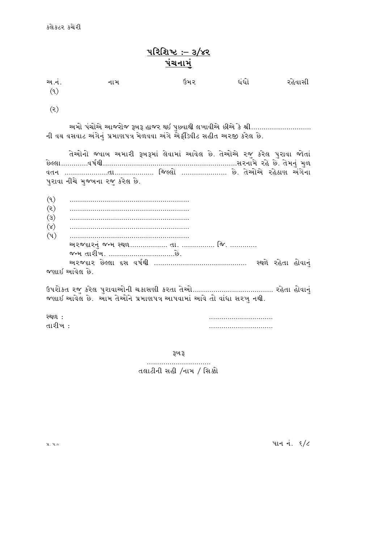# $1222 : -3/x2$ પંચનાર

| અ.નં.<br>(9)                                                                                                                      | નામ                                                                   | ઉમર | ધંધો | રહેવાસી |  |  |  |
|-----------------------------------------------------------------------------------------------------------------------------------|-----------------------------------------------------------------------|-----|------|---------|--|--|--|
|                                                                                                                                   |                                                                       |     |      |         |  |  |  |
| (5)                                                                                                                               |                                                                       |     |      |         |  |  |  |
| અમો પંચોએ આજરોજ રૂબરૂ હાજર થઈ પુછવાથી લખાવીએ છીએ કે શ્રી<br>ની વય વસવાટ અંગેનં પ્રમાણપત્ર મેળવવા અંગે એફીડેવીટ સહીત અરજી કરેલ છે. |                                                                       |     |      |         |  |  |  |
|                                                                                                                                   | તેઓનો જવાબ અમારી રૂબરૂમાં લેવામાં આવેલ છે. તેઓએ રજુ કરેલ પુરાવા જોતાં |     |      |         |  |  |  |

|                  | પુરાવા નીચે મુજબના રજુ કરેલ છે. |                    |  |
|------------------|---------------------------------|--------------------|--|
|                  |                                 |                    |  |
| (9)              |                                 |                    |  |
| (5)              |                                 |                    |  |
| $\mathcal{L}(3)$ |                                 |                    |  |
| (x)              |                                 |                    |  |
| (4)              |                                 |                    |  |
|                  |                                 |                    |  |
|                  |                                 |                    |  |
|                  |                                 | સ્થળે રહેતા હોવાનં |  |
|                  | જણાઇ આવેલ છે.                   |                    |  |

JTG PPPPPPPPPPPPPPPPPPPPPTFPPPPPPPPPPPPPPPPPPP lH<,M PPPPPPPPPPPPPPPPPPPPPP K[P T[VMV[ ZC [9F6 V\U[GF

p5ZMST ZH] SZ[, 5]ZFJFVMGL RSF;6L SZTF T[VMPPPPPPPPPPPPPPPPPPPPPPPPPPPPPPPPPPPPPPP ZC[TF CMJFG\ ] જણાઇ આવેલ છે. આમ તેઓને પ્રમાણપત્ર આપવામાં આવે તો વાંધા સરખુ નથી.

રથળ :<br>તારીખ :<br>તારીખ : TFZLB o PPPPPPPPPPPPPPPPPPPPPPPPPPPPPPP

રૂખ રૂ

PPPPPPPPPPPPPPPPPPPPPPPPPPPPPPP તલાટીની સહી /નામ / સિક્કો

 $x, y, \circ$  and  $\frac{1}{2}$   $\frac{1}{2}$   $\frac{1}{2}$   $\frac{1}{2}$   $\frac{1}{2}$   $\frac{1}{2}$   $\frac{1}{2}$   $\frac{1}{2}$   $\frac{1}{2}$   $\frac{1}{2}$   $\frac{1}{2}$   $\frac{1}{2}$   $\frac{1}{2}$   $\frac{1}{2}$   $\frac{1}{2}$   $\frac{1}{2}$   $\frac{1}{2}$   $\frac{1}{2}$   $\frac{1}{2}$   $\frac{1}{2}$   $\frac{1}{2}$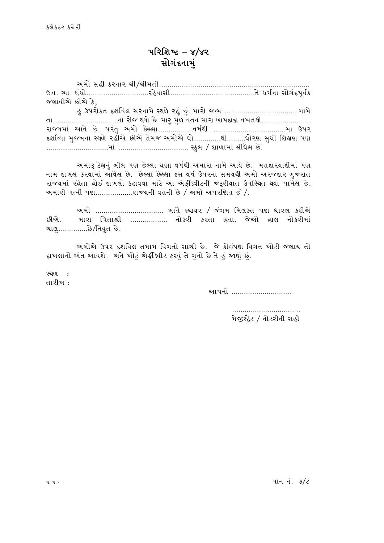કલેકટર કચેરી

# <u> પરિશિષ્ટ – ૪/૪૨</u> <u>સોગંદનામં</u>

VDM ;CL SZGFZ zLqzLDTLPPPPPPPPPPPPPPPPPPPPPPPPPPPPPPPPPPPPPPPPPPPPPPPPPPPPPPPPPPPPPPPPPPPPPPPPP pPJP VFP W\WMPPPPPPPPPPPPPPPPPPPPPPPPPPPPPPZC[JF;LPPPPPPPPPPPPPPPPPPPPPPPPPPPPPPPPPPPPPPPPPT[ WD"GF ;MU\N5}J"S જણાવીએ છીએ કે, C\ ] p5ZMST NXF"J[, ;ZGFD[ :Y/[ ZC\ ] K\ ]P DFZM HgD PPPPPPPPPPPPPPPPPPPPPPPPPPPPPPPPPPPPUFD[ તા...................................ના રોજ થયો છે. મારુ મુળ વતન મારા બાપદાદા વખતથી......................... રાજચમાં આવે છે. પરંતુ અમો છેલ્લા..................વર્ષથી ...................................માં ઉપર દર્શાવ્યા મજબના સ્થળે રહીએ છીએ તેમજ અમોએ ધો.............થી.........ધોરણ સધી શિક્ષણ પણ ...............................માં ………………………………… સ્કુલ / શાળામાં લીધેલ છે.

અમારૂ ટેક્ષનું બીલ પણ છેલ્લા ઘણા વર્ષથી અમારા નામે આવે છે. મતદારચાદીમાં પણ નામ દ્દાખલ કરવામાં આવેલ છે. છેલ્લા છેલ્લા દસ વર્ષ ઉપરના સમયથી અમો અરજદાર ગજરાત રાજ્યમાં રહેતા હોઇ દાખલો કઢાવવા માટે આ એફીડેવીટની જરૂરીયાત ઉપસ્થિત થવા પામેલ છે. અમારી પત્ની પણ...................રાજ્યની વતની છે / અમો અપરણિત છે/.

અમો ................................ ખાતે સ્થાવર / જંગમ મિલકત પણ ધારણ કરીએ છીએ. મારા પિતાશ્રી ................. નોકરી કરતા હતા. જેઓ હાલ નોકરીમાં ચાલુ.............છે/નિવૃત છે.

અમોએ ઉપર દર્શાવેલ તમામ વિગતો સાચી છે. જે કોઈપણ વિગત ખોટી જણાય તો દાખલાનો અંત આવશે. અને ખોટું એફીડેવીટ કરવું તે ગુનો છે તે હું જાણું છું.

<u>સ્થળ :</u> તારીખ :

VF5GM PPPPPPPPPPPPPPPPPPPPPPPPPPPPP

PPPPPPPPPPPPPPPPPPPPPPPPPPPPPPPPP મેજીસેટ / નોટરીની સહી